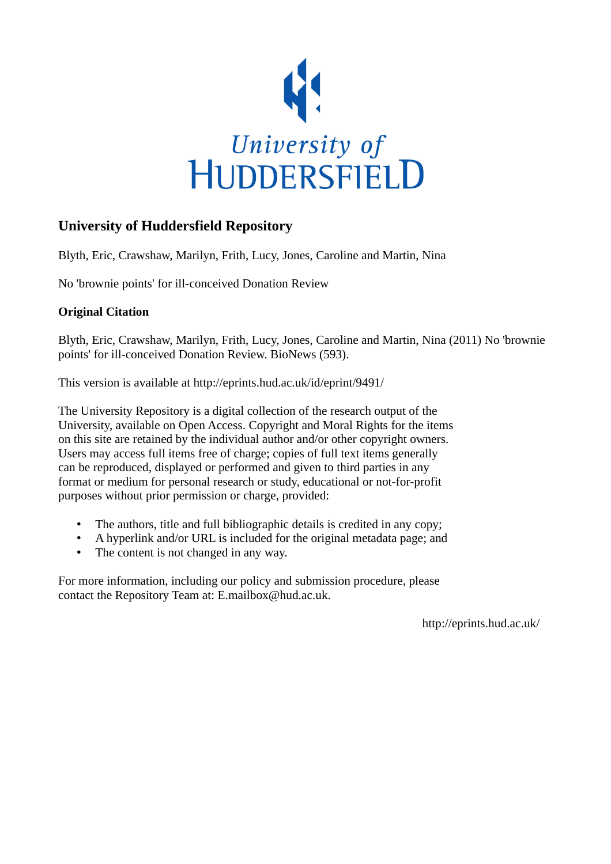

## **University of Huddersfield Repository**

Blyth, Eric, Crawshaw, Marilyn, Frith, Lucy, Jones, Caroline and Martin, Nina

No 'brownie points' for ill-conceived Donation Review

## **Original Citation**

Blyth, Eric, Crawshaw, Marilyn, Frith, Lucy, Jones, Caroline and Martin, Nina (2011) No 'brownie points' for ill-conceived Donation Review. BioNews (593).

This version is available at http://eprints.hud.ac.uk/id/eprint/9491/

The University Repository is a digital collection of the research output of the University, available on Open Access. Copyright and Moral Rights for the items on this site are retained by the individual author and/or other copyright owners. Users may access full items free of charge; copies of full text items generally can be reproduced, displayed or performed and given to third parties in any format or medium for personal research or study, educational or not-for-profit purposes without prior permission or charge, provided:

- The authors, title and full bibliographic details is credited in any copy;
- A hyperlink and/or URL is included for the original metadata page; and
- The content is not changed in any way.

For more information, including our policy and submission procedure, please contact the Repository Team at: E.mailbox@hud.ac.uk.

http://eprints.hud.ac.uk/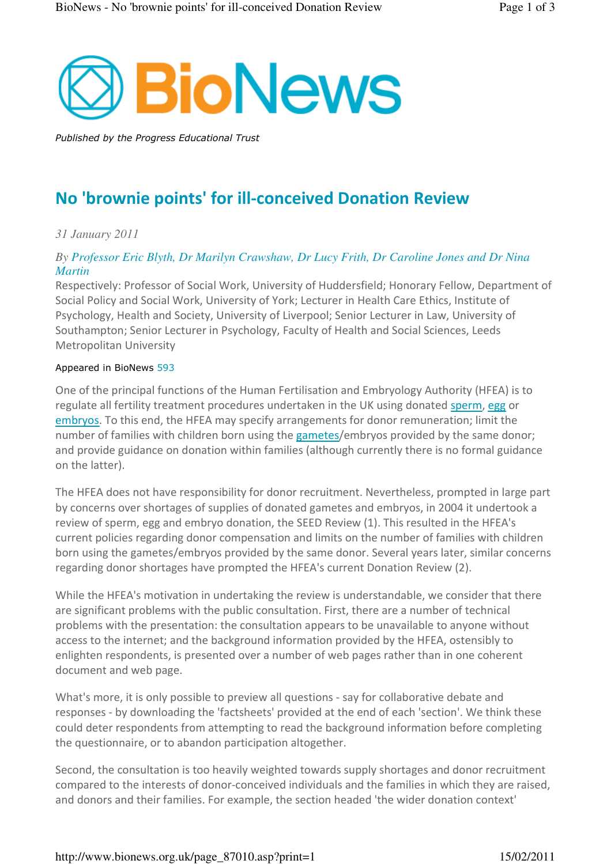

Published by the Progress Educational Trust

# No 'brownie points' for ill-conceived Donation Review

## *31 January 2011*

## *By Professor Eric Blyth, Dr Marilyn Crawshaw, Dr Lucy Frith, Dr Caroline Jones and Dr Nina Martin*

Respectively: Professor of Social Work, University of Huddersfield; Honorary Fellow, Department of Social Policy and Social Work, University of York; Lecturer in Health Care Ethics, Institute of Psychology, Health and Society, University of Liverpool; Senior Lecturer in Law, University of Southampton; Senior Lecturer in Psychology, Faculty of Health and Social Sciences, Leeds Metropolitan University

#### Appeared in BioNews 593

One of the principal functions of the Human Fertilisation and Embryology Authority (HFEA) is to regulate all fertility treatment procedures undertaken in the UK using donated sperm, egg or embryos. To this end, the HFEA may specify arrangements for donor remuneration; limit the number of families with children born using the gametes/embryos provided by the same donor; and provide guidance on donation within families (although currently there is no formal guidance on the latter).

The HFEA does not have responsibility for donor recruitment. Nevertheless, prompted in large part by concerns over shortages of supplies of donated gametes and embryos, in 2004 it undertook a review of sperm, egg and embryo donation, the SEED Review (1). This resulted in the HFEA's current policies regarding donor compensation and limits on the number of families with children born using the gametes/embryos provided by the same donor. Several years later, similar concerns regarding donor shortages have prompted the HFEA's current Donation Review (2).

While the HFEA's motivation in undertaking the review is understandable, we consider that there are significant problems with the public consultation. First, there are a number of technical problems with the presentation: the consultation appears to be unavailable to anyone without access to the internet; and the background information provided by the HFEA, ostensibly to enlighten respondents, is presented over a number of web pages rather than in one coherent document and web page.

What's more, it is only possible to preview all questions - say for collaborative debate and responses - by downloading the 'factsheets' provided at the end of each 'section'. We think these could deter respondents from attempting to read the background information before completing the questionnaire, or to abandon participation altogether.

Second, the consultation is too heavily weighted towards supply shortages and donor recruitment compared to the interests of donor-conceived individuals and the families in which they are raised, and donors and their families. For example, the section headed 'the wider donation context'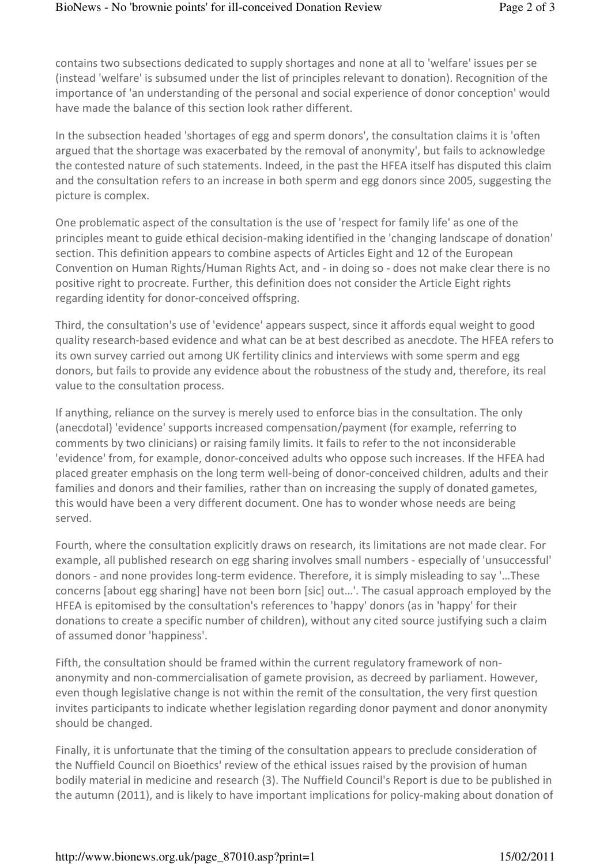contains two subsections dedicated to supply shortages and none at all to 'welfare' issues per se (instead 'welfare' is subsumed under the list of principles relevant to donation). Recognition of the importance of 'an understanding of the personal and social experience of donor conception' would have made the balance of this section look rather different.

In the subsection headed 'shortages of egg and sperm donors', the consultation claims it is 'often argued that the shortage was exacerbated by the removal of anonymity', but fails to acknowledge the contested nature of such statements. Indeed, in the past the HFEA itself has disputed this claim and the consultation refers to an increase in both sperm and egg donors since 2005, suggesting the picture is complex.

One problematic aspect of the consultation is the use of 'respect for family life' as one of the principles meant to guide ethical decision-making identified in the 'changing landscape of donation' section. This definition appears to combine aspects of Articles Eight and 12 of the European Convention on Human Rights/Human Rights Act, and - in doing so - does not make clear there is no positive right to procreate. Further, this definition does not consider the Article Eight rights regarding identity for donor-conceived offspring.

Third, the consultation's use of 'evidence' appears suspect, since it affords equal weight to good quality research-based evidence and what can be at best described as anecdote. The HFEA refers to its own survey carried out among UK fertility clinics and interviews with some sperm and egg donors, but fails to provide any evidence about the robustness of the study and, therefore, its real value to the consultation process.

If anything, reliance on the survey is merely used to enforce bias in the consultation. The only (anecdotal) 'evidence' supports increased compensation/payment (for example, referring to comments by two clinicians) or raising family limits. It fails to refer to the not inconsiderable 'evidence' from, for example, donor-conceived adults who oppose such increases. If the HFEA had placed greater emphasis on the long term well-being of donor-conceived children, adults and their families and donors and their families, rather than on increasing the supply of donated gametes, this would have been a very different document. One has to wonder whose needs are being served.

Fourth, where the consultation explicitly draws on research, its limitations are not made clear. For example, all published research on egg sharing involves small numbers - especially of 'unsuccessful' donors - and none provides long-term evidence. Therefore, it is simply misleading to say '…These concerns [about egg sharing] have not been born [sic] out…'. The casual approach employed by the HFEA is epitomised by the consultation's references to 'happy' donors (as in 'happy' for their donations to create a specific number of children), without any cited source justifying such a claim of assumed donor 'happiness'.

Fifth, the consultation should be framed within the current regulatory framework of nonanonymity and non-commercialisation of gamete provision, as decreed by parliament. However, even though legislative change is not within the remit of the consultation, the very first question invites participants to indicate whether legislation regarding donor payment and donor anonymity should be changed.

Finally, it is unfortunate that the timing of the consultation appears to preclude consideration of the Nuffield Council on Bioethics' review of the ethical issues raised by the provision of human bodily material in medicine and research (3). The Nuffield Council's Report is due to be published in the autumn (2011), and is likely to have important implications for policy-making about donation of